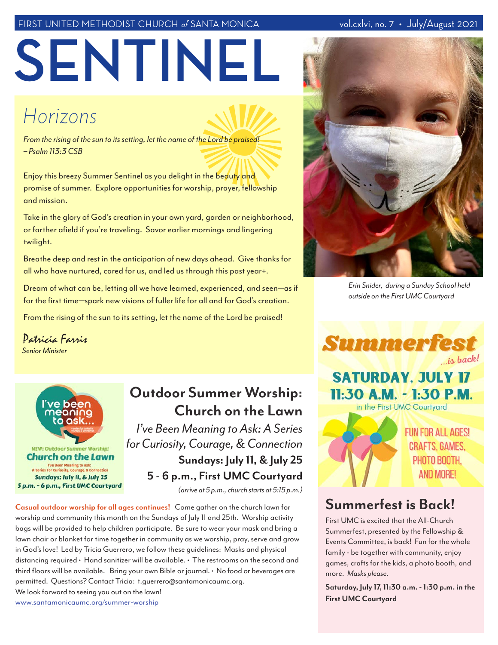#### FIRST UNITED METHODIST CHURCH of SANTA MONICA

**SENTINEL**

# *Horizons*

*From the rising of the sun to its setting, let the name of the Lord be praised! – Psalm 113:3 CSB*

Enjoy this breezy Summer Sentinel as you delight in the beauty and promise of summer. Explore opportunities for worship, prayer, fellowship and mission.

Take in the glory of God's creation in your own yard, garden or neighborhood, or farther afield if you're traveling. Savor earlier mornings and lingering twilight.

Breathe deep and rest in the anticipation of new days ahead. Give thanks for all who have nurtured, cared for us, and led us through this past year+.

Dream of what can be, letting all we have learned, experienced, and seen*—*as if for the first time*—*spark new visions of fuller life for all and for God's creation.

From the rising of the sun to its setting, let the name of the Lord be praised!

*Senior Minister* Patricia Farris



# **Outdoor Summer Worship: Church on the Lawn**

*I've Been Meaning to Ask: A Series for Curiosity, Courage, & Connection*  **Sundays: July 11, & July 25 5 - 6 p.m., First UMC Courtyard**

*(arrive at 5 p.m., church starts at 5:15 p.m.)*

**Casual outdoor worship for all ages continues!** Come gather on the church lawn for worship and community this month on the Sundays of July 11 and 25th. Worship activity bags will be provided to help children participate. Be sure to wear your mask and bring a lawn chair or blanket for time together in community as we worship, pray, serve and grow in God's love! Led by Tricia Guerrero, we follow these guidelines: Masks and physical distancing required • Hand sanitizer will be available. • The restrooms on the second and third floors will be available. Bring your own Bible or journal. • No food or beverages are permitted. Questions? Contact Tricia: t.guerrero@santamonicaumc.org. We look forward to seeing you out on the lawn!

www.santamonicaumc.org/summer-worship



*Erin Snider, during a Sunday School held outside on the First UMC Courtyard*





**FUN FOR ALL AGES! CRAFTS, GAMES.** PHOTO BOOTH. **AND MORE!** 

## **Summerfest is Back!**

First UMC is excited that the All-Church Summerfest, presented by the Fellowship & Events Committee, is back! Fun for the whole family - be together with community, enjoy games, crafts for the kids, a photo booth, and more. *Masks please.*

**Saturday, July 17, 11:30 a.m. - 1:30 p.m. in the First UMC Courtyard**

#### vol.cxlvi, no. 7 • July/August 2021